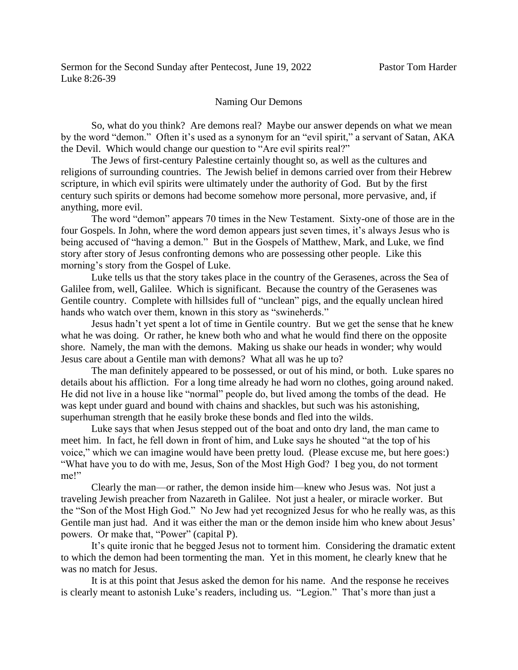## Naming Our Demons

So, what do you think? Are demons real? Maybe our answer depends on what we mean by the word "demon." Often it's used as a synonym for an "evil spirit," a servant of Satan, AKA the Devil. Which would change our question to "Are evil spirits real?"

The Jews of first-century Palestine certainly thought so, as well as the cultures and religions of surrounding countries. The Jewish belief in demons carried over from their Hebrew scripture, in which evil spirits were ultimately under the authority of God. But by the first century such spirits or demons had become somehow more personal, more pervasive, and, if anything, more evil.

The word "demon" appears 70 times in the New Testament. Sixty-one of those are in the four Gospels. In John, where the word demon appears just seven times, it's always Jesus who is being accused of "having a demon." But in the Gospels of Matthew, Mark, and Luke, we find story after story of Jesus confronting demons who are possessing other people. Like this morning's story from the Gospel of Luke.

Luke tells us that the story takes place in the country of the Gerasenes, across the Sea of Galilee from, well, Galilee. Which is significant. Because the country of the Gerasenes was Gentile country. Complete with hillsides full of "unclean" pigs, and the equally unclean hired hands who watch over them, known in this story as "swineherds."

Jesus hadn't yet spent a lot of time in Gentile country. But we get the sense that he knew what he was doing. Or rather, he knew both who and what he would find there on the opposite shore. Namely, the man with the demons. Making us shake our heads in wonder; why would Jesus care about a Gentile man with demons? What all was he up to?

The man definitely appeared to be possessed, or out of his mind, or both. Luke spares no details about his affliction. For a long time already he had worn no clothes, going around naked. He did not live in a house like "normal" people do, but lived among the tombs of the dead. He was kept under guard and bound with chains and shackles, but such was his astonishing, superhuman strength that he easily broke these bonds and fled into the wilds.

Luke says that when Jesus stepped out of the boat and onto dry land, the man came to meet him. In fact, he fell down in front of him, and Luke says he shouted "at the top of his voice," which we can imagine would have been pretty loud. (Please excuse me, but here goes:) "What have you to do with me, Jesus, Son of the Most High God? I beg you, do not torment me!"

Clearly the man—or rather, the demon inside him—knew who Jesus was. Not just a traveling Jewish preacher from Nazareth in Galilee. Not just a healer, or miracle worker. But the "Son of the Most High God." No Jew had yet recognized Jesus for who he really was, as this Gentile man just had. And it was either the man or the demon inside him who knew about Jesus' powers. Or make that, "Power" (capital P).

It's quite ironic that he begged Jesus not to torment him. Considering the dramatic extent to which the demon had been tormenting the man. Yet in this moment, he clearly knew that he was no match for Jesus.

It is at this point that Jesus asked the demon for his name. And the response he receives is clearly meant to astonish Luke's readers, including us. "Legion." That's more than just a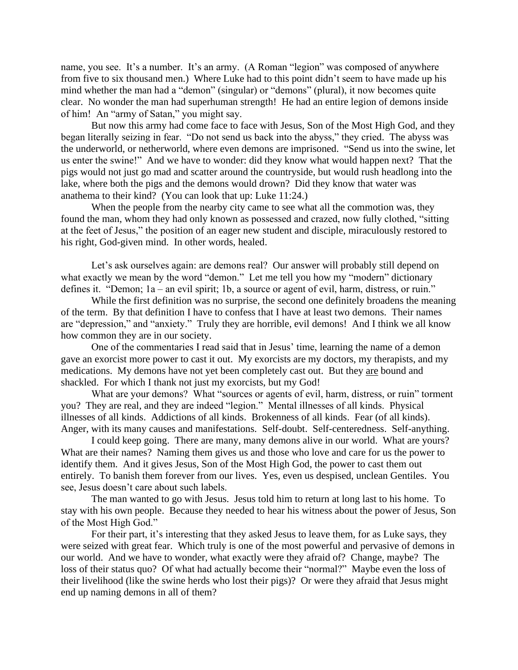name, you see. It's a number. It's an army. (A Roman "legion" was composed of anywhere from five to six thousand men.) Where Luke had to this point didn't seem to have made up his mind whether the man had a "demon" (singular) or "demons" (plural), it now becomes quite clear. No wonder the man had superhuman strength! He had an entire legion of demons inside of him! An "army of Satan," you might say.

But now this army had come face to face with Jesus, Son of the Most High God, and they began literally seizing in fear. "Do not send us back into the abyss," they cried. The abyss was the underworld, or netherworld, where even demons are imprisoned. "Send us into the swine, let us enter the swine!" And we have to wonder: did they know what would happen next? That the pigs would not just go mad and scatter around the countryside, but would rush headlong into the lake, where both the pigs and the demons would drown? Did they know that water was anathema to their kind? (You can look that up: Luke 11:24.)

When the people from the nearby city came to see what all the commotion was, they found the man, whom they had only known as possessed and crazed, now fully clothed, "sitting at the feet of Jesus," the position of an eager new student and disciple, miraculously restored to his right, God-given mind. In other words, healed.

Let's ask ourselves again: are demons real? Our answer will probably still depend on what exactly we mean by the word "demon." Let me tell you how my "modern" dictionary defines it. "Demon; 1a – an evil spirit; 1b, a source or agent of evil, harm, distress, or ruin."

While the first definition was no surprise, the second one definitely broadens the meaning of the term. By that definition I have to confess that I have at least two demons. Their names are "depression," and "anxiety." Truly they are horrible, evil demons! And I think we all know how common they are in our society.

One of the commentaries I read said that in Jesus' time, learning the name of a demon gave an exorcist more power to cast it out. My exorcists are my doctors, my therapists, and my medications. My demons have not yet been completely cast out. But they are bound and shackled. For which I thank not just my exorcists, but my God!

What are your demons? What "sources or agents of evil, harm, distress, or ruin" torment you? They are real, and they are indeed "legion." Mental illnesses of all kinds. Physical illnesses of all kinds. Addictions of all kinds. Brokenness of all kinds. Fear (of all kinds). Anger, with its many causes and manifestations. Self-doubt. Self-centeredness. Self-anything.

I could keep going. There are many, many demons alive in our world. What are yours? What are their names? Naming them gives us and those who love and care for us the power to identify them. And it gives Jesus, Son of the Most High God, the power to cast them out entirely. To banish them forever from our lives. Yes, even us despised, unclean Gentiles. You see, Jesus doesn't care about such labels.

The man wanted to go with Jesus. Jesus told him to return at long last to his home. To stay with his own people. Because they needed to hear his witness about the power of Jesus, Son of the Most High God."

For their part, it's interesting that they asked Jesus to leave them, for as Luke says, they were seized with great fear. Which truly is one of the most powerful and pervasive of demons in our world. And we have to wonder, what exactly were they afraid of? Change, maybe? The loss of their status quo? Of what had actually become their "normal?" Maybe even the loss of their livelihood (like the swine herds who lost their pigs)? Or were they afraid that Jesus might end up naming demons in all of them?